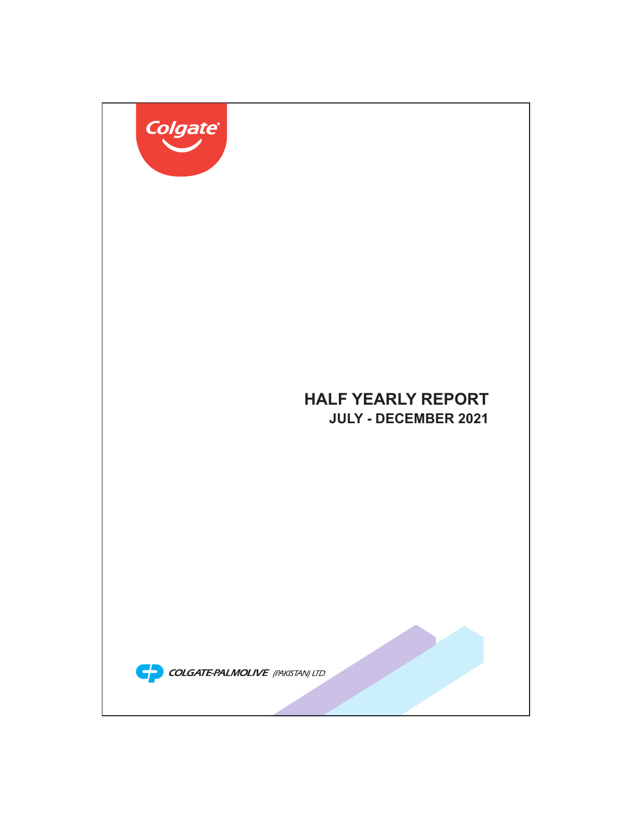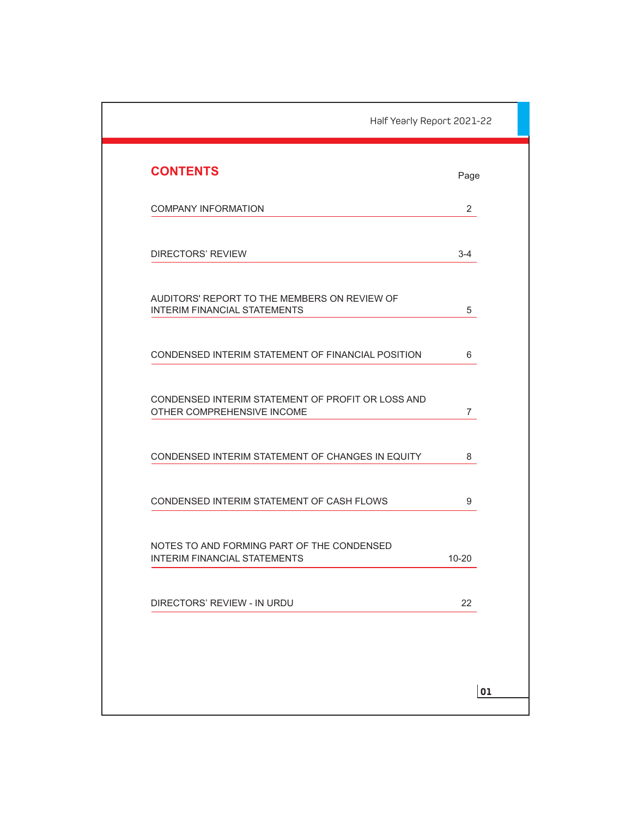| Half Yearly Report 2021-22                                                        |                |
|-----------------------------------------------------------------------------------|----------------|
| <b>CONTENTS</b>                                                                   | Page           |
| <b>COMPANY INFORMATION</b>                                                        | $\overline{2}$ |
| <b>DIRECTORS' REVIEW</b>                                                          | $3 - 4$        |
| AUDITORS' REPORT TO THE MEMBERS ON REVIEW OF<br>INTERIM FINANCIAL STATEMENTS      | 5              |
| CONDENSED INTERIM STATEMENT OF FINANCIAL POSITION                                 | 6              |
| CONDENSED INTERIM STATEMENT OF PROFIT OR LOSS AND<br>OTHER COMPREHENSIVE INCOME   | 7              |
| CONDENSED INTERIM STATEMENT OF CHANGES IN EQUITY                                  | 8              |
| CONDENSED INTERIM STATEMENT OF CASH FLOWS                                         | 9              |
| NOTES TO AND FORMING PART OF THE CONDENSED<br><b>INTERIM FINANCIAL STATEMENTS</b> | $10 - 20$      |
| DIRECTORS' REVIEW - IN URDU                                                       | 22             |
|                                                                                   |                |
|                                                                                   |                |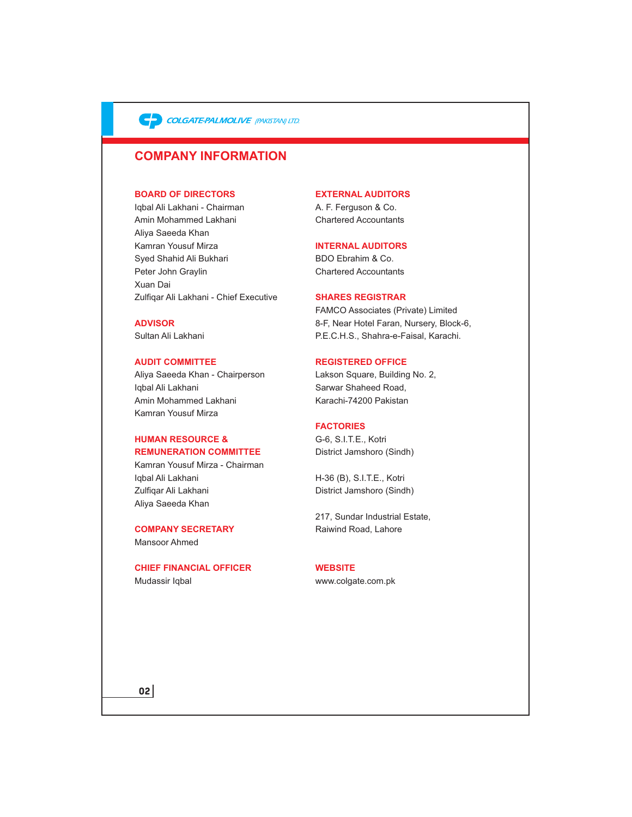## **COMPANY INFORMATION**

## **BOARD OF DIRECTORS**

Iqbal Ali Lakhani - Chairman Amin Mohammed Lakhani Aliya Saeeda Khan Kamran Yousuf Mirza Syed Shahid Ali Bukhari Peter John Graylin Xuan Dai Zulfiqar Ali Lakhani - Chief Executive

**ADVISOR** Sultan Ali Lakhani

#### **AUDIT COMMITTEE**

Aliya Saeeda Khan - Chairperson Iqbal Ali Lakhani Amin Mohammed Lakhani Kamran Yousuf Mirza

## **HUMAN RESOURCE & REMUNERATION COMMITTEE**

Kamran Yousuf Mirza - Chairman Iqbal Ali Lakhani Zulfiqar Ali Lakhani Aliya Saeeda Khan

**COMPANY SECRETARY** Mansoor Ahmed

**CHIEF FINANCIAL OFFICER** Mudassir Iqbal

## **EXTERNAL AUDITORS**

A. F. Ferguson & Co. Chartered Accountants

## **INTERNAL AUDITORS**

BDO Ebrahim & Co. Chartered Accountants

#### **SHARES REGISTRAR**

FAMCO Associates (Private) Limited 8-F, Near Hotel Faran, Nursery, Block-6, P.E.C.H.S., Shahra-e-Faisal, Karachi.

#### **REGISTERED OFFICE**

Lakson Square, Building No. 2, Sarwar Shaheed Road, Karachi-74200 Pakistan

## **FACTORIES**

G-6, S.I.T.E., Kotri District Jamshoro (Sindh)

H-36 (B), S.I.T.E., Kotri District Jamshoro (Sindh)

217, Sundar Industrial Estate, Raiwind Road, Lahore

**WEBSITE** www.colgate.com.pk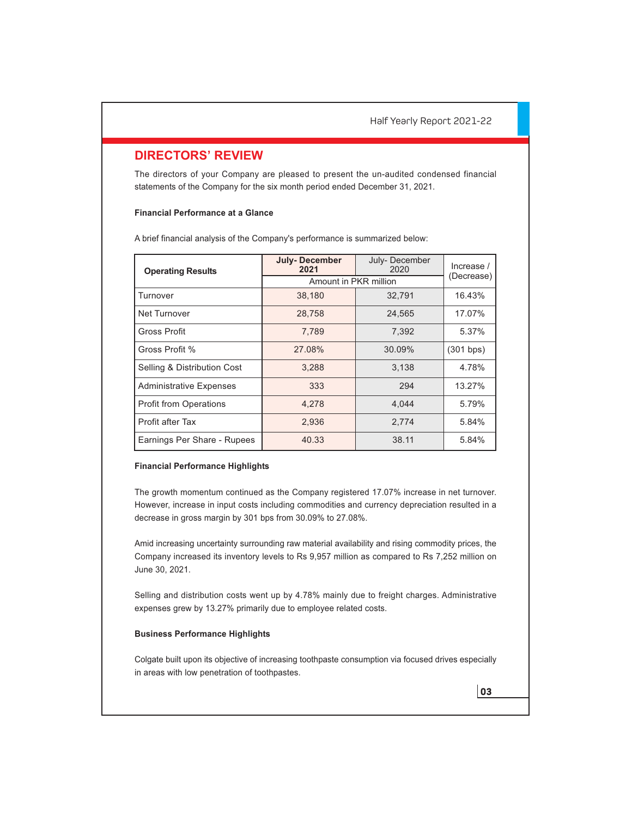Half Yearly Report 2021-22

# **DIRECTORS' REVIEW**

The directors of your Company are pleased to present the un-audited condensed financial statements of the Company for the six month period ended December 31, 2021.

#### **Financial Performance at a Glance**

A brief financial analysis of the Company's performance is summarized below:

| <b>Operating Results</b>       | <b>July-December</b><br>2021 | July-December<br>2020 | Increase /<br>(Decrease) |
|--------------------------------|------------------------------|-----------------------|--------------------------|
|                                | Amount in PKR million        |                       |                          |
| Turnover                       | 38,180                       | 32,791                | 16.43%                   |
| Net Turnover                   | 28,758                       | 24,565                | 17.07%                   |
| <b>Gross Profit</b>            | 7,789                        | 7,392                 | 5.37%                    |
| Gross Profit %                 | 27.08%                       | 30.09%                | (301 bps)                |
| Selling & Distribution Cost    | 3,288                        | 3,138                 | 4.78%                    |
| <b>Administrative Expenses</b> | 333                          | 294                   | 13.27%                   |
| <b>Profit from Operations</b>  | 4,278                        | 4,044                 | 5.79%                    |
| Profit after Tax               | 2,936                        | 2,774                 | 5.84%                    |
| Earnings Per Share - Rupees    | 40.33                        | 38.11                 | 5.84%                    |

#### **Financial Performance Highlights**

The growth momentum continued as the Company registered 17.07% increase in net turnover. However, increase in input costs including commodities and currency depreciation resulted in a decrease in gross margin by 301 bps from 30.09% to 27.08%.

Amid increasing uncertainty surrounding raw material availability and rising commodity prices, the Company increased its inventory levels to Rs 9,957 million as compared to Rs 7,252 million on June 30, 2021.

Selling and distribution costs went up by 4.78% mainly due to freight charges. Administrative expenses grew by 13.27% primarily due to employee related costs.

#### **Business Performance Highlights**

Colgate built upon its objective of increasing toothpaste consumption via focused drives especially in areas with low penetration of toothpastes.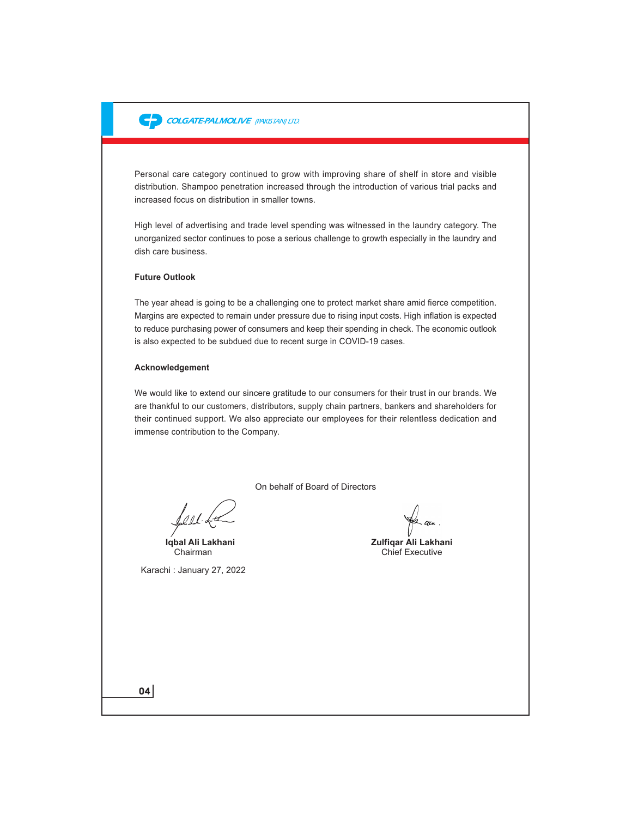

Personal care category continued to grow with improving share of shelf in store and visible distribution. Shampoo penetration increased through the introduction of various trial packs and increased focus on distribution in smaller towns.

High level of advertising and trade level spending was witnessed in the laundry category. The unorganized sector continues to pose a serious challenge to growth especially in the laundry and dish care business.

#### **Future Outlook**

The year ahead is going to be a challenging one to protect market share amid fierce competition. Margins are expected to remain under pressure due to rising input costs. High inflation is expected to reduce purchasing power of consumers and keep their spending in check. The economic outlook is also expected to be subdued due to recent surge in COVID-19 cases.

#### **Acknowledgement**

We would like to extend our sincere gratitude to our consumers for their trust in our brands. We are thankful to our customers, distributors, supply chain partners, bankers and shareholders for their continued support. We also appreciate our employees for their relentless dedication and immense contribution to the Company.

On behalf of Board of Directors

**Iqbal Ali Lakhani** Chairman

Karachi : January 27, 2022

Ulm

**Zulfiqar Ali Lakhani** Chief Executive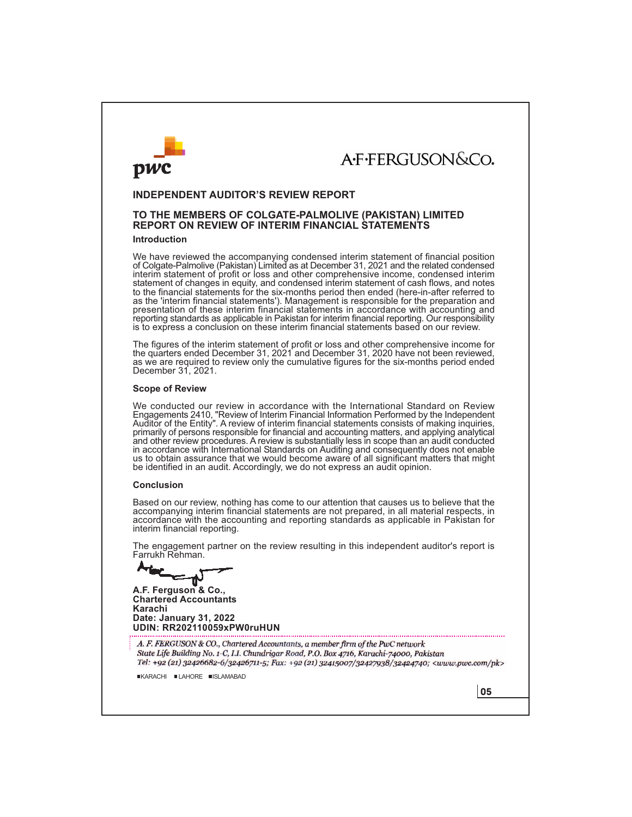

# A-F-FERGUSON&CO.

### **INDEPENDENT AUDITOR'S REVIEW REPORT**

## **TO THE MEMBERS OF COLGATE-PALMOLIVE (PAKISTAN) LIMITED REPORT ON REVIEW OF INTERIM FINANCIAL STATEMENTS**

#### **Introduction**

We have reviewed the accompanying condensed interim statement of financial position of Colgate-Palmolive (Pakistan) Limited as at December 31, 2021 and the related condensed interim statement of profit or loss and other comprehensive income, condensed interim statement of changes in equity, and condensed interim statement of cash flows, and notes to the financial statements for the six-months period then ended (here-in-after referred to as the 'interim financial statements'). Management is responsible for the preparation and presentation of these interim financial statements in accordance with accounting and reporting standards as applicable in Pakistan for interim financial reporting. Our responsibility is to express a conclusion on these interim financial statements based on our review.

The figures of the interim statement of profit or loss and other comprehensive income for the quarters ended December 31, 2021 and December 31, 2020 have not been reviewed, as we are required to review only the cumulative figures for the six-months period ended December 31, 2021.

#### **Scope of Review**

We conducted our review in accordance with the International Standard on Review Engagements 2410, "Review of Interim Financial Information Performed by the Independent Auditor of the Entity". A review of interim financial statements consists of making inquiries, primarily of persons responsible for financial and accounting matters, and applying analytical and other review procedures. A review is substantially less in scope than an audit conducted in accordance with International Standards on Auditing and consequently does not enable us to obtain assurance that we would become aware of all significant matters that might be identified in an audit. Accordingly, we do not express an audit opinion.

#### **Conclusion**

Based on our review, nothing has come to our attention that causes us to believe that the accompanying interim financial statements are not prepared, in all material respects, in accordance with the accounting and reporting standards as applicable in Pakistan for interim financial reporting.

The engagement partner on the review resulting in this independent auditor's report is Farrukh Rehman.

Ter  $\leftarrow$ 

**A.F. Ferguson & Co., Chartered Accountants Karachi Date: January 31, 2022 UDIN: RR202110059xPW0ruHUN**

A. F. FERGUSON & CO., Chartered Accountants, a member firm of the PwC network State Life Building No. 1-C, I.I. Chundrigar Road, P.O. Box 4716, Karachi-74000, Pakistan Tel: +92 (21) 32426682-6/32426711-5; Fax: +92 (21) 32415007/32427938/32424740; <www.pwc.com/pk>

KARACHI LAHORE ISLAMABAD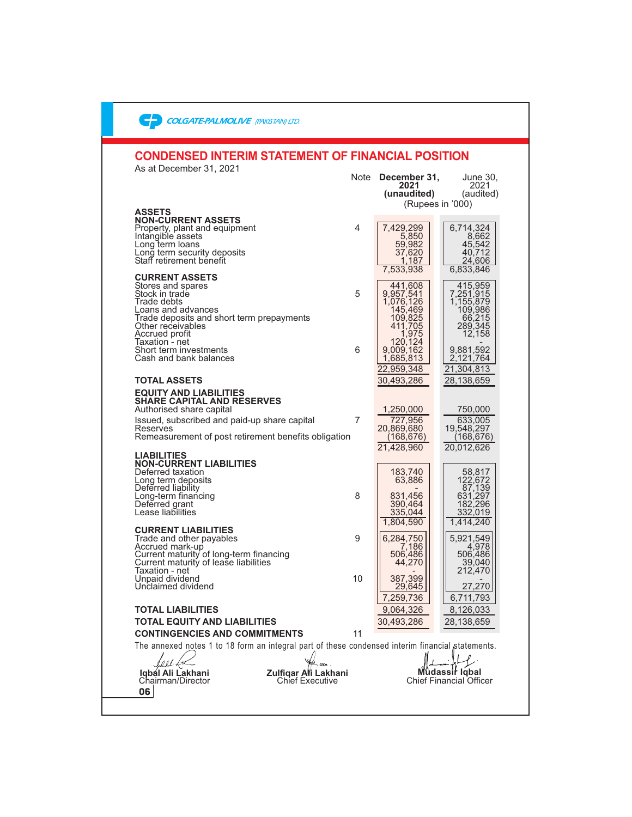| <b>COLGATE-PALMOLIVE</b> (PAKISTAN) LTD.                                                                                                                                                                                                 |                                                 |      |                                                                                                     |                                                                                          |
|------------------------------------------------------------------------------------------------------------------------------------------------------------------------------------------------------------------------------------------|-------------------------------------------------|------|-----------------------------------------------------------------------------------------------------|------------------------------------------------------------------------------------------|
| <b>CONDENSED INTERIM STATEMENT OF FINANCIAL POSITION</b>                                                                                                                                                                                 |                                                 |      |                                                                                                     |                                                                                          |
| As at December 31, 2021                                                                                                                                                                                                                  |                                                 | Note | December 31,<br>2021<br>(unaudited)                                                                 | June 30,<br>2021<br>(audited)<br>(Rupees in '000)                                        |
| ASSETS<br><b>NON-CURRENT ASSETS</b><br>Property, plant and equipment<br>Intangible assets<br>Long term loans<br>Long term security deposits<br>Staff retirement benefit                                                                  |                                                 | 4    | 7,429,299<br>5.850<br>59,982<br>37,620<br>1,187                                                     | 6,714,324<br>8,662<br>45,542<br>40.712<br>24,606                                         |
| <b>CURRENT ASSETS</b><br>Stores and spares<br>Stock in trade<br>Trade debts<br>Loans and advances<br>Trade deposits and short term prepayments<br>Other receivables<br>Accrued profit<br>Taxation - net                                  |                                                 | 5    | 7,533,938<br>441,608<br>9,957,541<br>1,076,126<br>145,469<br>109,825<br>411.705<br>1,975<br>120,124 | 6,833,846<br>415,959<br>7,251,915<br>1,155,879<br>109,986<br>66,215<br>289,345<br>12,158 |
| Short term investments<br>Cash and bank balances<br><b>TOTAL ASSETS</b>                                                                                                                                                                  |                                                 | 6    | 9,009,162<br>1,685,813<br>22,959,348<br>30,493,286                                                  | 9,881,592<br>2,121,764<br>21,304,813<br>28,138,659                                       |
| <b>EQUITY AND LIABILITIES</b><br><b>SHARE CAPITAL AND RESERVES</b><br>Authorised share capital<br>Issued, subscribed and paid-up share capital<br>Reserves<br>Remeasurement of post retirement benefits obligation<br><b>LIABILITIES</b> |                                                 | 7    | 1,250,000<br>727,956<br>20.869.680<br>(168,676)<br>21,428,960                                       | 750,000<br>633,005<br>19,548,297<br>(168,676)<br>20,012,626                              |
| <b>NON-CURRENT LIABILITIES</b><br>Deferred taxation<br>Long term deposits<br>Deferred liability<br>Long-term financing<br>Deferred grant<br>Lease liabilities                                                                            |                                                 | 8    | 183,740<br>63,886<br>831,456<br>390,464<br>335,044<br>1,804,590                                     | 58,817<br>122,672<br>87,139<br>631,297<br>182,296<br>332,019<br>1,414,240                |
| <b>CURRENT LIABILITIES</b><br>Trade and other payables<br>Accrued mark-up<br>Current maturity of long-term financing<br>Current maturity of lease liabilities<br>Taxation - net                                                          |                                                 | 9    | 6,284,750<br>7,186<br>506,486<br>44,270                                                             | 5,921,549<br>4,978<br>506,486<br>39,040<br>212,470                                       |
| Unpaid dividend<br>Unclaimed dividend                                                                                                                                                                                                    |                                                 | 10   | 387,399<br>29,645<br>7,259,736                                                                      | 27,270<br>6,711,793                                                                      |
| <b>TOTAL LIABILITIES</b><br><b>TOTAL EQUITY AND LIABILITIES</b><br><b>CONTINGENCIES AND COMMITMENTS</b>                                                                                                                                  |                                                 | 11   | 9,064,326<br>30,493,286                                                                             | 8,126,033<br>28,138,659                                                                  |
| The annexed notes 1 to 18 form an integral part of these condensed interim financial statements.<br>Iqbál Ali Lakhani<br>Chairman/Director<br>06                                                                                         | Ulm<br>Zulfiqar Al'i Lakhani<br>Chief Executive |      |                                                                                                     | Mudassir Iqbal<br>Chief Financial Officer                                                |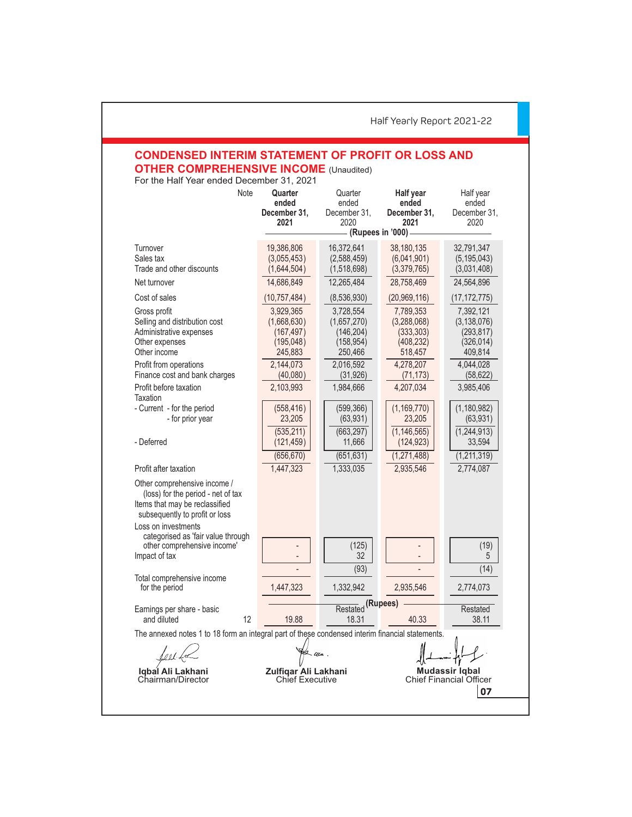Half Yearly Report 2021-22

# **CONDENSED INTERIM STATEMENT OF PROFIT OR LOSS AND OTHER COMPREHENSIVE INCOME** (Unaudited)

For the Half Year ended December 31, 2021

| Note                                                                                                                                                                                                                                                                               | Quarter<br>ended<br>December 31,<br>2021                                                                                                                | Quarter<br>ended<br>December 31,<br>2020                                                                                                                  | <b>Half year</b><br>ended<br>December 31,<br>2021                                                                                                                | Half year<br>ended<br>December 31,<br>2020                                                                                                                     |
|------------------------------------------------------------------------------------------------------------------------------------------------------------------------------------------------------------------------------------------------------------------------------------|---------------------------------------------------------------------------------------------------------------------------------------------------------|-----------------------------------------------------------------------------------------------------------------------------------------------------------|------------------------------------------------------------------------------------------------------------------------------------------------------------------|----------------------------------------------------------------------------------------------------------------------------------------------------------------|
|                                                                                                                                                                                                                                                                                    |                                                                                                                                                         |                                                                                                                                                           | (Rupees in '000).                                                                                                                                                |                                                                                                                                                                |
| Turnover<br>Sales tax<br>Trade and other discounts                                                                                                                                                                                                                                 | 19,386,806<br>(3,055,453)<br>(1,644,504)                                                                                                                | 16,372,641<br>(2,588,459)<br>(1,518,698)                                                                                                                  | 38,180,135<br>(6,041,901)<br>(3,379,765)                                                                                                                         | 32,791,347<br>(5, 195, 043)<br>(3,031,408)                                                                                                                     |
| Net turnover                                                                                                                                                                                                                                                                       | 14,686,849                                                                                                                                              | 12,265,484                                                                                                                                                | 28,758,469                                                                                                                                                       | 24,564,896                                                                                                                                                     |
| Cost of sales                                                                                                                                                                                                                                                                      | (10, 757, 484)                                                                                                                                          | (8,536,930)                                                                                                                                               | (20, 969, 116)                                                                                                                                                   | (17, 172, 775)                                                                                                                                                 |
| Gross profit<br>Selling and distribution cost<br>Administrative expenses<br>Other expenses<br>Other income<br>Profit from operations<br>Finance cost and bank charges<br>Profit before taxation<br><b>Taxation</b><br>- Current - for the period<br>- for prior year<br>- Deferred | 3,929,365<br>(1,668,630)<br>(167,497)<br>(195,048)<br>245,883<br>2,144,073<br>(40,080)<br>2,103,993<br>(558, 416)<br>23,205<br>(535, 211)<br>(121, 459) | 3,728,554<br>(1,657,270)<br>(146, 204)<br>(158, 954)<br>250,466<br>2,016,592<br>(31, 926)<br>1,984,666<br>(599, 366)<br>(63, 931)<br>(663, 297)<br>11,666 | 7,789,353<br>(3,288,068)<br>(333, 303)<br>(408, 232)<br>518,457<br>4,278,207<br>(71, 173)<br>4,207,034<br>(1, 169, 770)<br>23,205<br>(1, 146, 565)<br>(124, 923) | 7,392,121<br>(3, 138, 076)<br>(293,817)<br>(326, 014)<br>409,814<br>4,044,028<br>(58, 622)<br>3,985,406<br>(1, 180, 982)<br>(63, 931)<br>(1,244,913)<br>33,594 |
| Profit after taxation                                                                                                                                                                                                                                                              | (656, 670)<br>1,447,323                                                                                                                                 | (651, 631)<br>1,333,035                                                                                                                                   | (1, 271, 488)<br>2,935,546                                                                                                                                       | (1, 211, 319)<br>2,774,087                                                                                                                                     |
| Other comprehensive income /<br>(loss) for the period - net of tax<br>Items that may be reclassified<br>subsequently to profit or loss                                                                                                                                             |                                                                                                                                                         |                                                                                                                                                           |                                                                                                                                                                  |                                                                                                                                                                |
| Loss on investments<br>categorised as 'fair value through<br>other comprehensive income'<br>Impact of tax                                                                                                                                                                          |                                                                                                                                                         | (125)<br>32                                                                                                                                               |                                                                                                                                                                  | (19)<br>5                                                                                                                                                      |
|                                                                                                                                                                                                                                                                                    |                                                                                                                                                         | (93)                                                                                                                                                      |                                                                                                                                                                  | (14)                                                                                                                                                           |
| Total comprehensive income<br>for the period                                                                                                                                                                                                                                       | 1,447,323                                                                                                                                               | 1,332,942                                                                                                                                                 | 2,935,546                                                                                                                                                        | 2,774,073                                                                                                                                                      |
|                                                                                                                                                                                                                                                                                    |                                                                                                                                                         |                                                                                                                                                           | (Rupees)                                                                                                                                                         |                                                                                                                                                                |
| Earnings per share - basic<br>and diluted<br>12                                                                                                                                                                                                                                    | 19.88                                                                                                                                                   | Restated<br>18.31                                                                                                                                         | 40.33                                                                                                                                                            | Restated<br>38.11                                                                                                                                              |
| The annexed notes 1 to 18 form an integral part of these condensed interim financial statements.                                                                                                                                                                                   |                                                                                                                                                         |                                                                                                                                                           |                                                                                                                                                                  |                                                                                                                                                                |
| 'ool                                                                                                                                                                                                                                                                               | ₩ am .                                                                                                                                                  |                                                                                                                                                           |                                                                                                                                                                  |                                                                                                                                                                |
| Igbal Ali Lakhani<br>Chairman/Director                                                                                                                                                                                                                                             | Zulfiqar Ali Lakhani<br>Chief Executive                                                                                                                 |                                                                                                                                                           |                                                                                                                                                                  | <b>Mudassir Igbal</b><br><b>Chief Financial Officer</b><br>07                                                                                                  |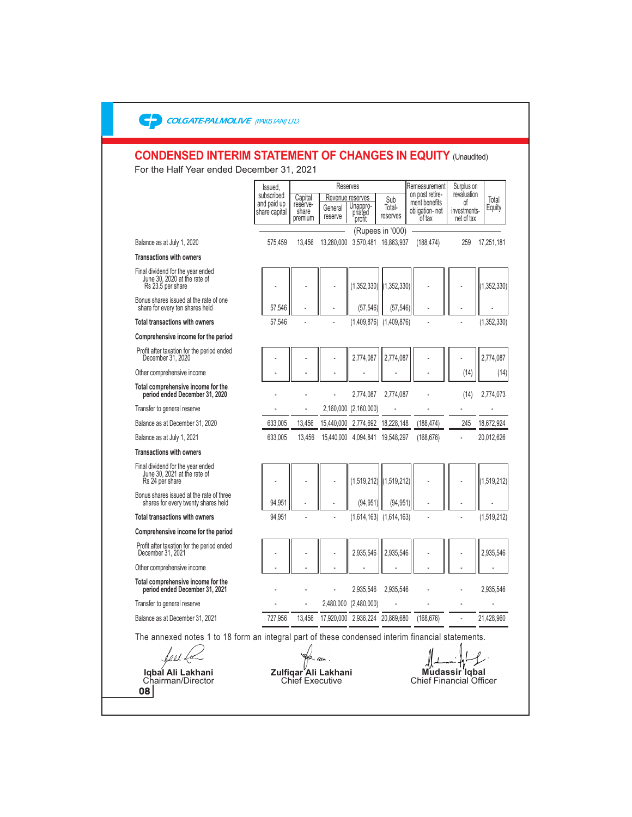# **CONDENSED INTERIM STATEMENT OF CHANGES IN EQUITY** (Unaudited)

For the Half Year ended December 31, 2021

|                                                                                                  | Issued.                   |                        | <b>Reserves</b>      |                               |                             | Remeasurement                    | Surplus on                 |               |
|--------------------------------------------------------------------------------------------------|---------------------------|------------------------|----------------------|-------------------------------|-----------------------------|----------------------------------|----------------------------|---------------|
|                                                                                                  | subscribed<br>and paid up | Capital<br>reserve-    | Revenue reserves     |                               | Sub                         | on post retire-<br>ment benefits | revaluation<br>οf          | Total         |
|                                                                                                  | share capital             | share<br>premium       | General<br>reserve   | Unappro-<br>priated<br>profit | Total-<br>reserves          | obligation-net<br>of tax         | investments-<br>net of tax | Equity        |
|                                                                                                  |                           |                        |                      |                               | (Rupees in '000)            |                                  |                            |               |
| Balance as at July 1, 2020                                                                       | 575,459                   | 13.456                 | 13,280,000           |                               | 3,570,481 16,863,937        | (188, 474)                       | 259                        | 17,251,181    |
| <b>Transactions with owners</b>                                                                  |                           |                        |                      |                               |                             |                                  |                            |               |
| Final dividend for the year ended<br>June 30, 2020 at the rate of<br>Rs 23.5 per share           |                           |                        |                      | (1, 352, 330)                 | (1, 352, 330)               |                                  |                            | (1, 352, 330) |
| Bonus shares issued at the rate of one<br>share for every ten shares held                        | 57,546                    |                        |                      | (57, 546)                     | (57, 546)                   |                                  |                            |               |
| <b>Total transactions with owners</b>                                                            | 57,546                    |                        |                      | (1,409,876)                   | (1,409,876)                 |                                  |                            | (1,352,330)   |
| Comprehensive income for the period                                                              |                           |                        |                      |                               |                             |                                  |                            |               |
| Profit after taxation for the period ended<br>December 31, 2020                                  |                           |                        |                      | 2,774,087                     | 2,774,087                   |                                  |                            | 2,774,087     |
| Other comprehensive income                                                                       |                           |                        |                      |                               |                             |                                  | (14)                       | (14)          |
| Total comprehensive income for the<br>period ended December 31, 2020                             |                           |                        | Ĭ.                   | 2,774,087                     | 2,774,087                   |                                  | (14)                       | 2,774,073     |
| Transfer to general reserve                                                                      |                           |                        |                      | 2,160,000 (2,160,000)         |                             |                                  |                            |               |
| Balance as at December 31, 2020                                                                  | 633,005                   | 13,456                 | 15,440,000           | 2,774,692                     | 18,228,148                  | (188, 474)                       | 245                        | 18,672,924    |
| Balance as at July 1, 2021                                                                       | 633.005                   | 13.456                 | 15.440.000           | 4.094.841                     | 19.548.297                  | (168.676)                        |                            | 20.012.626    |
| <b>Transactions with owners</b>                                                                  |                           |                        |                      |                               |                             |                                  |                            |               |
| Final dividend for the year ended                                                                |                           |                        |                      |                               |                             |                                  |                            |               |
| June 30, 2021 at the rate of<br>Rs 24 per share                                                  |                           |                        |                      | (1,519,212)                   | (1,519,212)                 |                                  |                            | (1,519,212)   |
| Bonus shares issued at the rate of three<br>shares for every twenty shares held                  | 94,951                    |                        |                      | (94.951)                      | (94.951)                    |                                  | Ĭ.                         |               |
| <b>Total transactions with owners</b>                                                            | 94.951                    |                        |                      |                               | $(1,614,163)$ $(1,614,163)$ |                                  |                            | (1,519,212)   |
| Comprehensive income for the period                                                              |                           |                        |                      |                               |                             |                                  |                            |               |
| Profit after taxation for the period ended<br>December 31, 2021                                  |                           |                        |                      | 2,935,546                     | 2,935,546                   |                                  |                            | 2,935,546     |
| Other comprehensive income                                                                       |                           |                        |                      |                               |                             |                                  |                            |               |
| Total comprehensive income for the<br>period ended December 31, 2021                             |                           |                        | L                    | 2,935,546                     | 2,935,546                   |                                  |                            | 2,935,546     |
| Transfer to general reserve                                                                      |                           |                        |                      | 2,480,000 (2,480,000)         |                             |                                  |                            |               |
| Balance as at December 31, 2021                                                                  | 727.956                   | 13.456                 | 17,920,000           | 2,936,224                     | 20,869,680                  | (168, 676)                       |                            | 21,428,960    |
| The annexed notes 1 to 18 form an integral part of these condensed interim financial statements. |                           |                        |                      |                               |                             |                                  |                            |               |
| lel Lo                                                                                           |                           |                        | $-$ Ula .            |                               |                             |                                  |                            |               |
| Igbal Ali Lakhani<br>Chairman/Director<br>08                                                     |                           | <b>Chief Executive</b> | Zulfiqar Ali Lakhani |                               |                             | <b>Chief Financial Officer</b>   | dassir lɑbal               |               |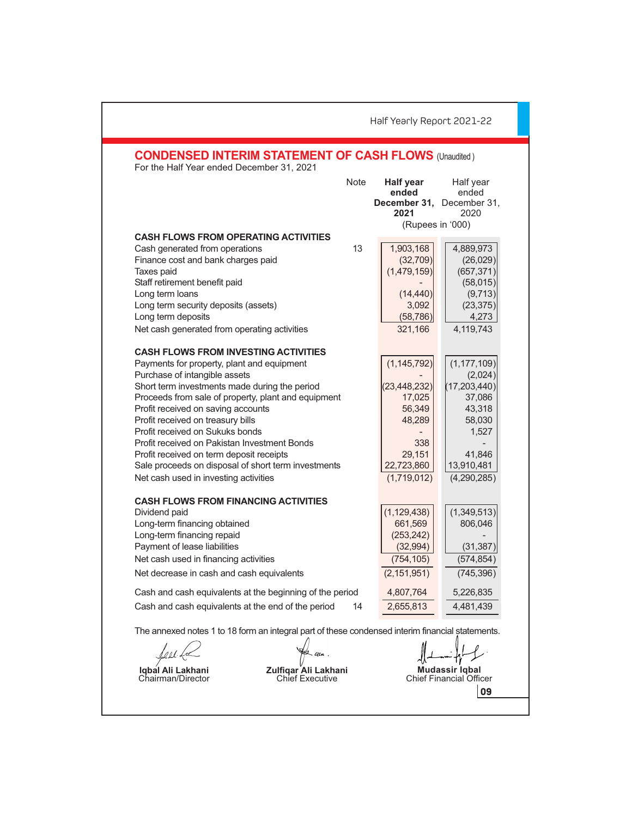| For the Half Year ended December 31, 2021                            | Note | <b>Half year</b><br>ended<br>December 31, December 31, | Half year<br>ended |
|----------------------------------------------------------------------|------|--------------------------------------------------------|--------------------|
|                                                                      |      | 2021<br>(Rupees in '000)                               | 2020               |
| <b>CASH FLOWS FROM OPERATING ACTIVITIES</b>                          |      |                                                        |                    |
| Cash generated from operations                                       | 13   | 1,903,168                                              | 4,889,973          |
| Finance cost and bank charges paid                                   |      | (32, 709)                                              | (26, 029)          |
| Taxes paid                                                           |      | (1,479,159)                                            | (657, 371)         |
| Staff retirement benefit paid                                        |      |                                                        | (58,015)           |
| Long term loans                                                      |      | (14, 440)                                              | (9,713)            |
| Long term security deposits (assets)<br>Long term deposits           |      | 3,092<br>(58, 786)                                     | (23, 375)<br>4,273 |
| Net cash generated from operating activities                         |      | 321,166                                                | 4,119,743          |
|                                                                      |      |                                                        |                    |
| <b>CASH FLOWS FROM INVESTING ACTIVITIES</b>                          |      |                                                        |                    |
| Payments for property, plant and equipment                           |      | (1, 145, 792)                                          | (1, 177, 109)      |
| Purchase of intangible assets                                        |      |                                                        | (2,024)            |
| Short term investments made during the period                        |      | (23, 448, 232)                                         | (17,203,440)       |
| Proceeds from sale of property, plant and equipment                  |      | 17,025                                                 | 37,086             |
| Profit received on saving accounts                                   |      | 56,349                                                 | 43,318             |
| Profit received on treasury bills<br>Profit received on Sukuks bonds |      | 48,289                                                 | 58,030<br>1,527    |
| Profit received on Pakistan Investment Bonds                         |      | 338                                                    |                    |
| Profit received on term deposit receipts                             |      | 29,151                                                 | 41,846             |
| Sale proceeds on disposal of short term investments                  |      | 22,723,860                                             | 13,910,481         |
| Net cash used in investing activities                                |      | (1,719,012)                                            | (4,290,285)        |
| <b>CASH FLOWS FROM FINANCING ACTIVITIES</b>                          |      |                                                        |                    |
| Dividend paid                                                        |      | (1, 129, 438)                                          | (1,349,513)        |
| Long-term financing obtained                                         |      | 661,569                                                | 806,046            |
| Long-term financing repaid                                           |      | (253, 242)                                             |                    |
| Payment of lease liabilities                                         |      | (32, 994)                                              | (31, 387)          |
| Net cash used in financing activities                                |      | (754, 105)                                             | (574, 854)         |
| Net decrease in cash and cash equivalents                            |      | (2, 151, 951)                                          | (745, 396)         |
| Cash and cash equivalents at the beginning of the period             |      | 4,807,764                                              | 5,226,835          |
| Cash and cash equivalents at the end of the period                   | 14   | 2,655,813                                              | 4,481,439          |

**Iqbal Ali Lakhani** Chairman/Director

**Zulfiqar Ali Lakhani** Chief Executive

**Mudassir Iqbal**

**09** Chief Financial Officer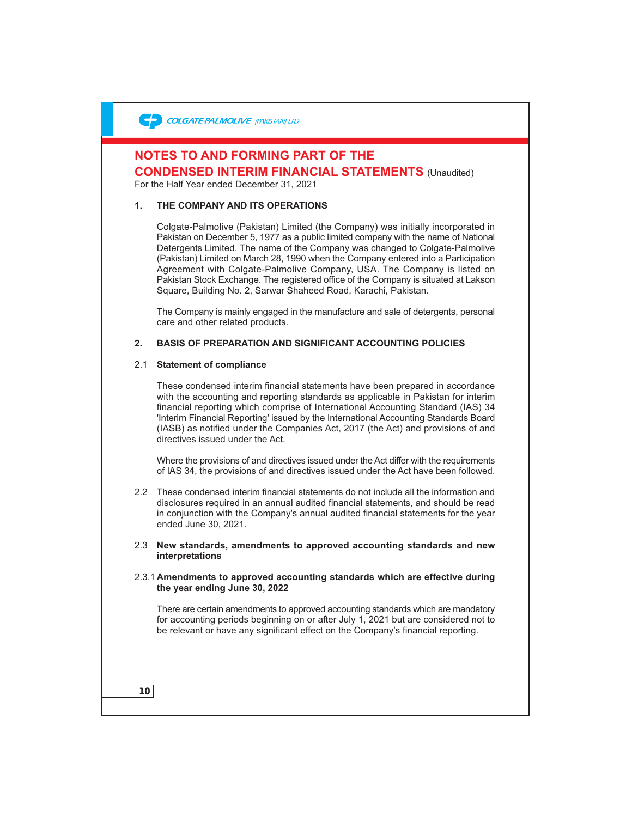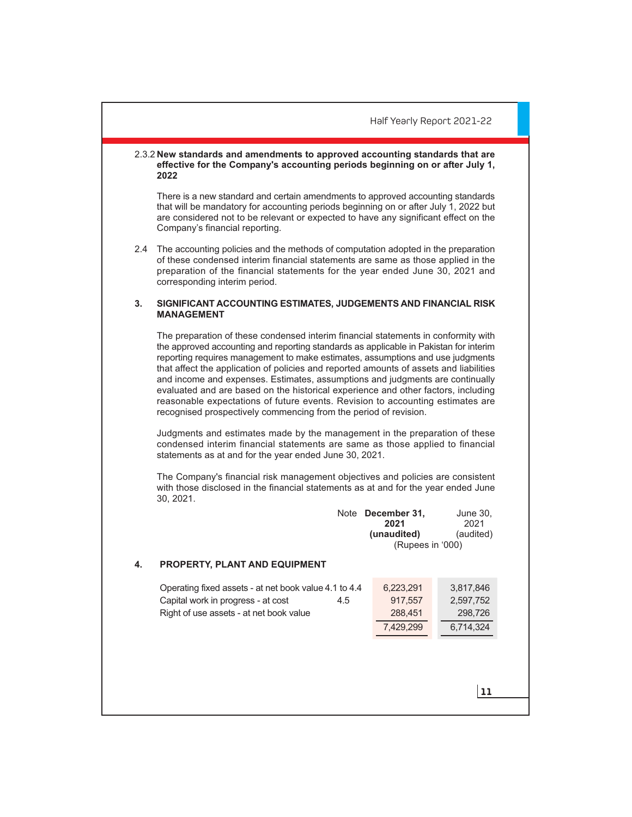#### 2.3.2 **New standards and amendments to approved accounting standards that are effective for the Company's accounting periods beginning on or after July 1, 2022**

There is a new standard and certain amendments to approved accounting standards that will be mandatory for accounting periods beginning on or after July 1, 2022 but are considered not to be relevant or expected to have any significant effect on the Company's financial reporting.

2.4 The accounting policies and the methods of computation adopted in the preparation of these condensed interim financial statements are same as those applied in the preparation of the financial statements for the year ended June 30, 2021 and corresponding interim period.

## **3. SIGNIFICANT ACCOUNTING ESTIMATES, JUDGEMENTS AND FINANCIAL RISK MANAGEMENT**

The preparation of these condensed interim financial statements in conformity with the approved accounting and reporting standards as applicable in Pakistan for interim reporting requires management to make estimates, assumptions and use judgments that affect the application of policies and reported amounts of assets and liabilities and income and expenses. Estimates, assumptions and judgments are continually evaluated and are based on the historical experience and other factors, including reasonable expectations of future events. Revision to accounting estimates are recognised prospectively commencing from the period of revision.

Judgments and estimates made by the management in the preparation of these condensed interim financial statements are same as those applied to financial statements as at and for the year ended June 30, 2021.

The Company's financial risk management objectives and policies are consistent with those disclosed in the financial statements as at and for the year ended June 30, 2021.

|    | Note                                                                                                                                          | December 31,<br>2021<br>(unaudited)<br>(Rupees in '000) | June 30,<br>2021<br>(audited)                  |
|----|-----------------------------------------------------------------------------------------------------------------------------------------------|---------------------------------------------------------|------------------------------------------------|
| 4. | PROPERTY, PLANT AND EQUIPMENT                                                                                                                 |                                                         |                                                |
|    | Operating fixed assets - at net book value 4.1 to 4.4<br>Capital work in progress - at cost<br>4.5<br>Right of use assets - at net book value | 6,223,291<br>917,557<br>288,451<br>7,429,299            | 3,817,846<br>2,597,752<br>298,726<br>6,714,324 |
|    |                                                                                                                                               |                                                         |                                                |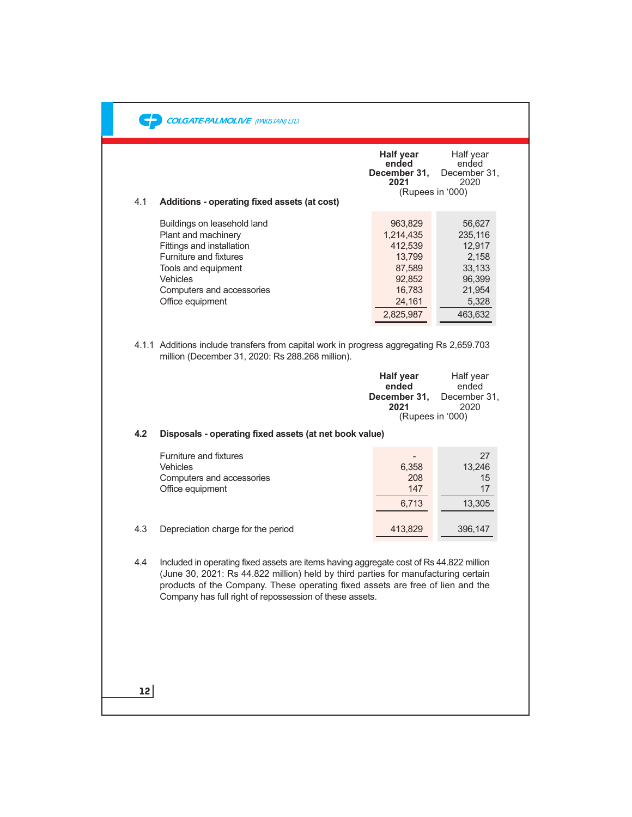|     | <b>COLGATE-PALMOLIVE</b> (PAKISTAN) LTD.                                                                                                                                                                                                                                                                                   |                                                                                                |                                                                                        |
|-----|----------------------------------------------------------------------------------------------------------------------------------------------------------------------------------------------------------------------------------------------------------------------------------------------------------------------------|------------------------------------------------------------------------------------------------|----------------------------------------------------------------------------------------|
| 4.1 | Additions - operating fixed assets (at cost)                                                                                                                                                                                                                                                                               | Half year<br>ended<br>December 31,<br>2021                                                     | Half year<br>ended<br>December 31,<br>2020<br>(Rupees in '000)                         |
|     | Buildings on leasehold land<br>Plant and machinery<br>Fittings and installation<br>Furniture and fixtures<br>Tools and equipment<br>Vehicles<br>Computers and accessories<br>Office equipment                                                                                                                              | 963,829<br>1,214,435<br>412,539<br>13,799<br>87,589<br>92,852<br>16,783<br>24,161<br>2,825,987 | 56,627<br>235,116<br>12,917<br>2,158<br>33,133<br>96,399<br>21,954<br>5,328<br>463,632 |
|     | 4.1.1 Additions include transfers from capital work in progress aggregating Rs 2,659.703<br>million (December 31, 2020: Rs 288.268 million).                                                                                                                                                                               |                                                                                                |                                                                                        |
|     |                                                                                                                                                                                                                                                                                                                            | <b>Half year</b><br>ended<br>December 31,<br>2021                                              | Half year<br>ended<br>December 31,<br>2020<br>(Rupees in '000)                         |
| 4.2 | Disposals - operating fixed assets (at net book value)                                                                                                                                                                                                                                                                     |                                                                                                |                                                                                        |
|     | Furniture and fixtures<br>Vehicles<br>Computers and accessories<br>Office equipment                                                                                                                                                                                                                                        | 6,358<br>208<br>147<br>6,713                                                                   | 27<br>13,246<br>15<br>17<br>13,305                                                     |
| 4.3 | Depreciation charge for the period                                                                                                                                                                                                                                                                                         | 413,829                                                                                        | 396,147                                                                                |
| 4.4 | Included in operating fixed assets are items having aggregate cost of Rs 44.822 million<br>(June 30, 2021: Rs 44.822 million) held by third parties for manufacturing certain<br>products of the Company. These operating fixed assets are free of lien and the<br>Company has full right of repossession of these assets. |                                                                                                |                                                                                        |
| 12  |                                                                                                                                                                                                                                                                                                                            |                                                                                                |                                                                                        |
|     |                                                                                                                                                                                                                                                                                                                            |                                                                                                |                                                                                        |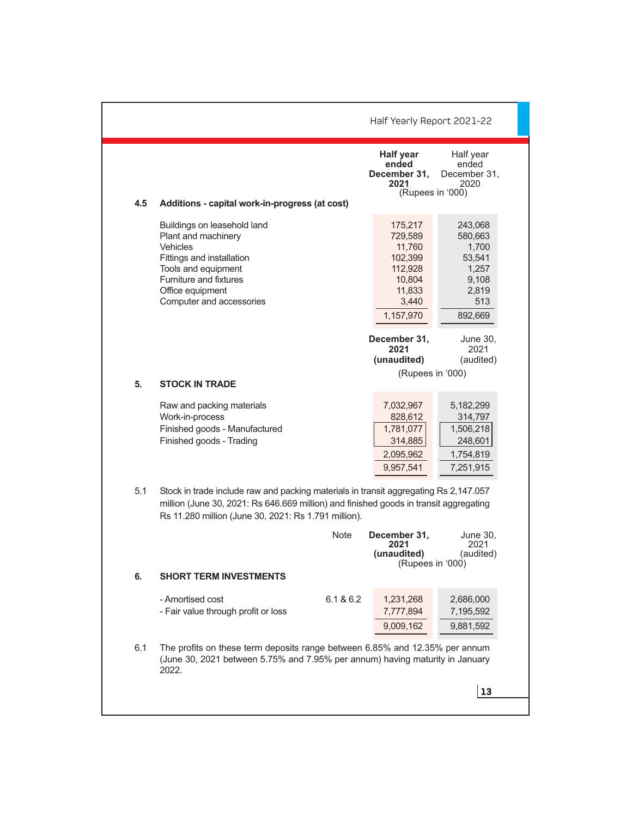|     |                                                                                                                                                                                                                                       |           | Half Yearly Report 2021-22                                                                                                          |                                                                                                                     |
|-----|---------------------------------------------------------------------------------------------------------------------------------------------------------------------------------------------------------------------------------------|-----------|-------------------------------------------------------------------------------------------------------------------------------------|---------------------------------------------------------------------------------------------------------------------|
| 4.5 | Additions - capital work-in-progress (at cost)                                                                                                                                                                                        |           | Half year<br>ended<br>December 31,<br>2021<br>(Rupees in '000)                                                                      | Half year<br>ended<br>December 31,<br>2020                                                                          |
|     | Buildings on leasehold land<br>Plant and machinery<br>Vehicles<br>Fittings and installation<br>Tools and equipment<br>Furniture and fixtures<br>Office equipment<br>Computer and accessories                                          |           | 175,217<br>729,589<br>11,760<br>102,399<br>112,928<br>10,804<br>11,833<br>3,440<br>1,157,970<br>December 31,<br>2021<br>(unaudited) | 243,068<br>580,663<br>1,700<br>53,541<br>1,257<br>9,108<br>2,819<br>513<br>892,669<br>June 30,<br>2021<br>(audited) |
| 5.  | <b>STOCK IN TRADE</b>                                                                                                                                                                                                                 |           | (Rupees in '000)                                                                                                                    |                                                                                                                     |
|     | Raw and packing materials<br>Work-in-process<br>Finished goods - Manufactured<br>Finished goods - Trading                                                                                                                             |           | 7,032,967<br>828,612<br>1,781,077<br>314,885<br>2,095,962<br>9,957,541                                                              | 5,182,299<br>314,797<br>1,506,218<br>248,601<br>1,754,819<br>7,251,915                                              |
| 5.1 | Stock in trade include raw and packing materials in transit aggregating Rs 2,147.057<br>million (June 30, 2021: Rs 646.669 million) and finished goods in transit aggregating<br>Rs 11.280 million (June 30, 2021: Rs 1.791 million). |           |                                                                                                                                     |                                                                                                                     |
|     |                                                                                                                                                                                                                                       | Note      | December 31,<br>2021<br>(unaudited)<br>(Rupees in '000)                                                                             | June 30,<br>2021<br>(audited)                                                                                       |
| 6.  | <b>SHORT TERM INVESTMENTS</b>                                                                                                                                                                                                         |           |                                                                                                                                     |                                                                                                                     |
|     | - Amortised cost<br>- Fair value through profit or loss                                                                                                                                                                               | 6.1 & 6.2 | 1,231,268<br>7,777,894<br>9,009,162                                                                                                 | 2,686,000<br>7,195,592<br>9,881,592                                                                                 |
| 6.1 | The profits on these term deposits range between 6.85% and 12.35% per annum<br>(June 30, 2021 between 5.75% and 7.95% per annum) having maturity in January<br>2022.                                                                  |           |                                                                                                                                     |                                                                                                                     |
|     |                                                                                                                                                                                                                                       |           |                                                                                                                                     | 13                                                                                                                  |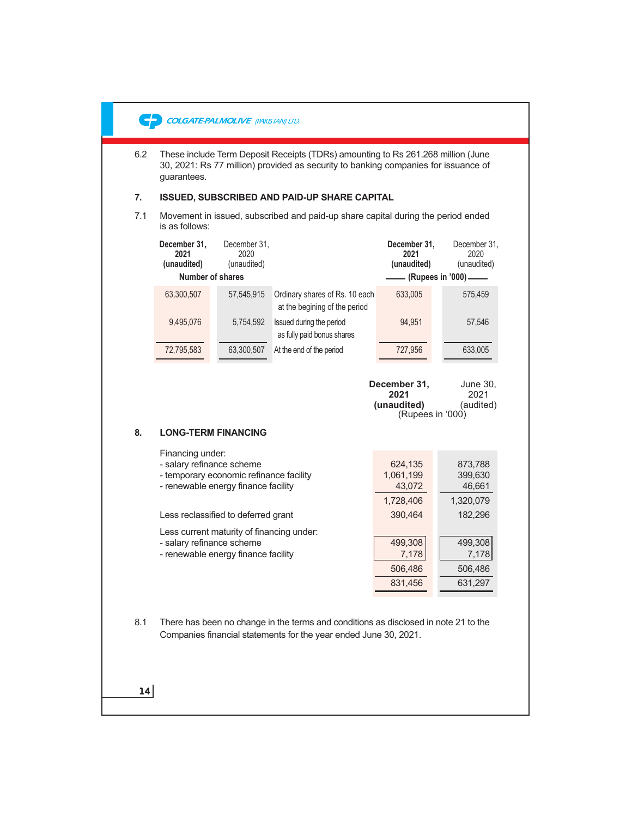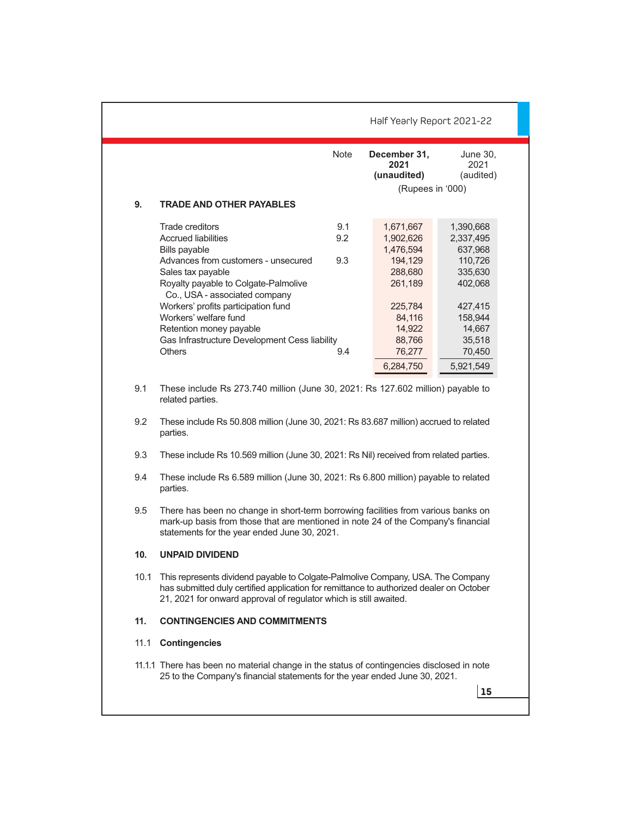Half Yearly Report 2021-22 **9. TRADE AND OTHER PAYABLES** Trade creditors 9.1 1,671,667 1,390,668 Accrued liabilities Bills payable **1,476,594** 637,968<br>Advances from customers - unsecured 9.3 194.129 110.726 Advances from customers - unsecured 9.3 194,129 110,726 Sales tax payable 288,680 335,630 Royalty payable to Colgate-Palmolive 261,189 402,068 Co., USA - associated company Workers' profits participation fund 225,784 427,415 Workers' welfare fund and the state of the state of the 84,116 158,944 Retention money payable 14,922 14,667 Gas Infrastructure Development Cess liability 88,766 35,518 Others 3.4 76,277 70,450 6,284,750 5,921,549 9.1 These include Rs 273.740 million (June 30, 2021: Rs 127.602 million) payable to related parties. 9.2 These include Rs 50.808 million (June 30, 2021: Rs 83.687 million) accrued to related parties. 9.3 These include Rs 10.569 million (June 30, 2021: Rs Nil) received from related parties. 9.4 These include Rs 6.589 million (June 30, 2021: Rs 6.800 million) payable to related parties. 9.5 There has been no change in short-term borrowing facilities from various banks on mark-up basis from those that are mentioned in note 24 of the Company's financial statements for the year ended June 30, 2021. **10. UNPAID DIVIDEND** 10.1 This represents dividend payable to Colgate-Palmolive Company, USA. The Company has submitted duly certified application for remittance to authorized dealer on October 21, 2021 for onward approval of regulator which is still awaited. **11. CONTINGENCIES AND COMMITMENTS** 11.1 **Contingencies** 11.1.1 There has been no material change in the status of contingencies disclosed in note 25 to the Company's financial statements for the year ended June 30, 2021. (Rupees in '000) **December 31, 2021 (unaudited)** June 30, 2021 (audited) Note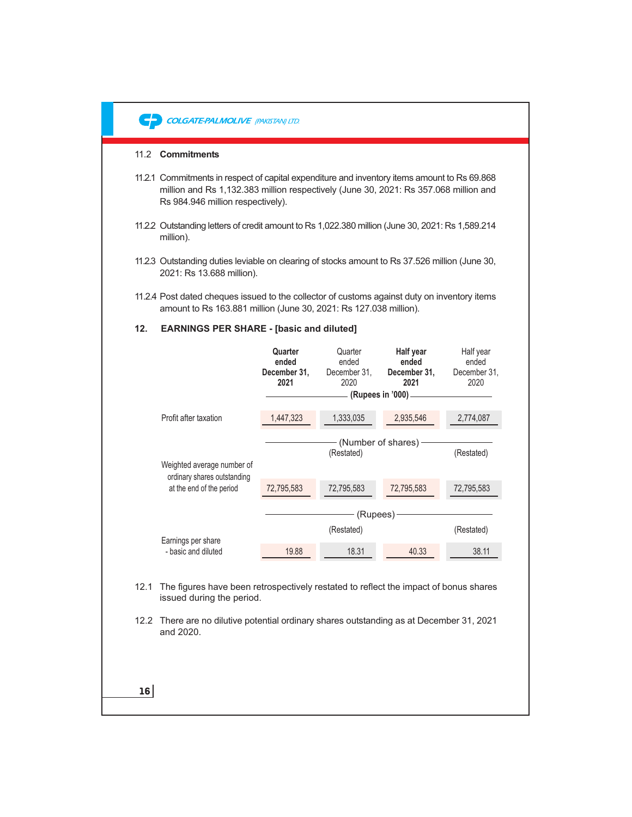## 11.2 **Commitments**

- 11.2.1 Commitments in respect of capital expenditure and inventory items amount to Rs 69.868 million and Rs 1,132.383 million respectively (June 30, 2021: Rs 357.068 million and Rs 984.946 million respectively).
- 11.2.2 Outstanding letters of credit amount to Rs 1,022.380 million (June 30, 2021: Rs 1,589.214 million).
- 11.2.3 Outstanding duties leviable on clearing of stocks amount to Rs 37.526 million (June 30, 2021: Rs 13.688 million).
- 11.2.4 Post dated cheques issued to the collector of customs against duty on inventory items amount to Rs 163.881 million (June 30, 2021: Rs 127.038 million).

## **12. EARNINGS PER SHARE - [basic and diluted]**

|      |                                                                                                                   | Quarter<br>ended<br>December 31,<br>2021 | Quarter<br>ended<br>December 31,<br>2020 | Half year<br>ended<br>December 31,<br>2021 | Half year<br>ended<br>December 31,<br>2020 |
|------|-------------------------------------------------------------------------------------------------------------------|------------------------------------------|------------------------------------------|--------------------------------------------|--------------------------------------------|
|      |                                                                                                                   |                                          |                                          | (Rupees in '000) -                         |                                            |
|      | Profit after taxation                                                                                             | 1,447,323                                | 1,333,035                                | 2,935,546                                  | 2,774,087                                  |
|      |                                                                                                                   |                                          |                                          | (Number of shares) -                       |                                            |
|      | Weighted average number of<br>ordinary shares outstanding                                                         |                                          | (Restated)                               |                                            | (Restated)                                 |
|      | at the end of the period                                                                                          | 72,795,583                               | 72,795,583                               | 72,795,583                                 | 72,795,583                                 |
|      |                                                                                                                   |                                          | (Rupees)-                                |                                            |                                            |
|      |                                                                                                                   |                                          | (Restated)                               |                                            | (Restated)                                 |
|      | Earnings per share<br>- basic and diluted                                                                         | 19.88                                    | 18.31                                    | 40.33                                      | 38.11                                      |
| 12.1 | The figures have been retrospectively restated to reflect the impact of bonus shares<br>issued during the period. |                                          |                                          |                                            |                                            |
| 12.2 | There are no dilutive potential ordinary shares outstanding as at December 31, 2021<br>and 2020.                  |                                          |                                          |                                            |                                            |
|      |                                                                                                                   |                                          |                                          |                                            |                                            |
| 16   |                                                                                                                   |                                          |                                          |                                            |                                            |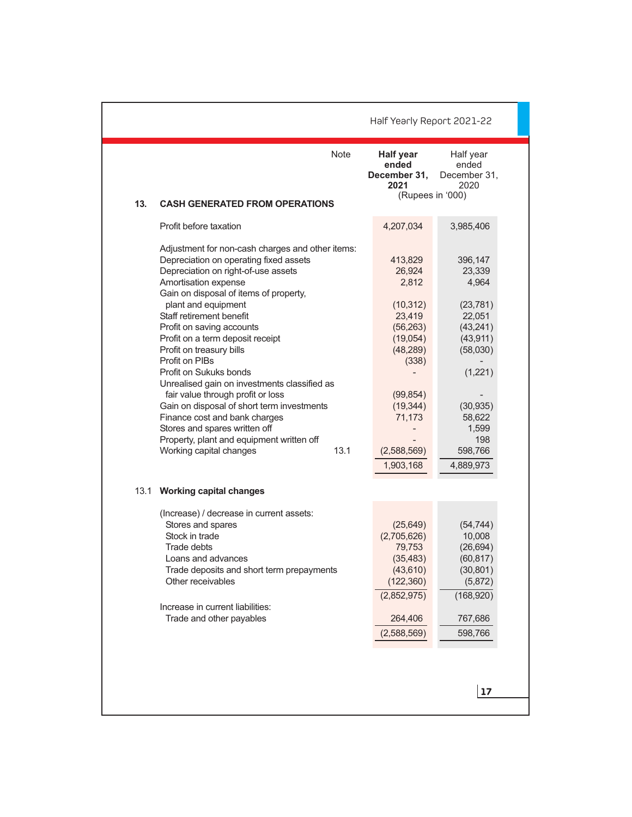|                                                                                                                                                                                                                                                                                                                                                                                                                                                                                                                                                                                                                                                                                      | Half Yearly Report 2021-22                                                                                                                                       |                                                                                                                                                                   |
|--------------------------------------------------------------------------------------------------------------------------------------------------------------------------------------------------------------------------------------------------------------------------------------------------------------------------------------------------------------------------------------------------------------------------------------------------------------------------------------------------------------------------------------------------------------------------------------------------------------------------------------------------------------------------------------|------------------------------------------------------------------------------------------------------------------------------------------------------------------|-------------------------------------------------------------------------------------------------------------------------------------------------------------------|
| <b>Note</b>                                                                                                                                                                                                                                                                                                                                                                                                                                                                                                                                                                                                                                                                          | <b>Half year</b><br>ended<br>December 31,<br>2021<br>(Rupees in '000)                                                                                            | Half year<br>ended<br>December 31,<br>2020                                                                                                                        |
| 13.<br><b>CASH GENERATED FROM OPERATIONS</b>                                                                                                                                                                                                                                                                                                                                                                                                                                                                                                                                                                                                                                         |                                                                                                                                                                  |                                                                                                                                                                   |
| Profit before taxation                                                                                                                                                                                                                                                                                                                                                                                                                                                                                                                                                                                                                                                               | 4,207,034                                                                                                                                                        | 3,985,406                                                                                                                                                         |
| Adjustment for non-cash charges and other items:<br>Depreciation on operating fixed assets<br>Depreciation on right-of-use assets<br>Amortisation expense<br>Gain on disposal of items of property,<br>plant and equipment<br>Staff retirement benefit<br>Profit on saving accounts<br>Profit on a term deposit receipt<br>Profit on treasury bills<br>Profit on PIBs<br>Profit on Sukuks bonds<br>Unrealised gain on investments classified as<br>fair value through profit or loss<br>Gain on disposal of short term investments<br>Finance cost and bank charges<br>Stores and spares written off<br>Property, plant and equipment written off<br>13.1<br>Working capital changes | 413,829<br>26,924<br>2,812<br>(10, 312)<br>23,419<br>(56, 263)<br>(19,054)<br>(48, 289)<br>(338)<br>(99, 854)<br>(19, 344)<br>71,173<br>(2,588,569)<br>1,903,168 | 396,147<br>23,339<br>4,964<br>(23, 781)<br>22,051<br>(43, 241)<br>(43, 911)<br>(58,030)<br>(1,221)<br>(30, 935)<br>58,622<br>1,599<br>198<br>598,766<br>4,889,973 |
| 13.1 Working capital changes                                                                                                                                                                                                                                                                                                                                                                                                                                                                                                                                                                                                                                                         |                                                                                                                                                                  |                                                                                                                                                                   |
| (Increase) / decrease in current assets:<br>Stores and spares<br>Stock in trade<br>Trade debts<br>Loans and advances<br>Trade deposits and short term prepayments<br>Other receivables<br>Increase in current liabilities:<br>Trade and other payables                                                                                                                                                                                                                                                                                                                                                                                                                               | (25, 649)<br>(2,705,626)<br>79,753<br>(35, 483)<br>(43, 610)<br>(122, 360)<br>(2,852,975)<br>264,406<br>(2,588,569)                                              | (54, 744)<br>10,008<br>(26, 694)<br>(60, 817)<br>(30, 801)<br>(5,872)<br>(168, 920)<br>767,686<br>598,766                                                         |
|                                                                                                                                                                                                                                                                                                                                                                                                                                                                                                                                                                                                                                                                                      |                                                                                                                                                                  | 17                                                                                                                                                                |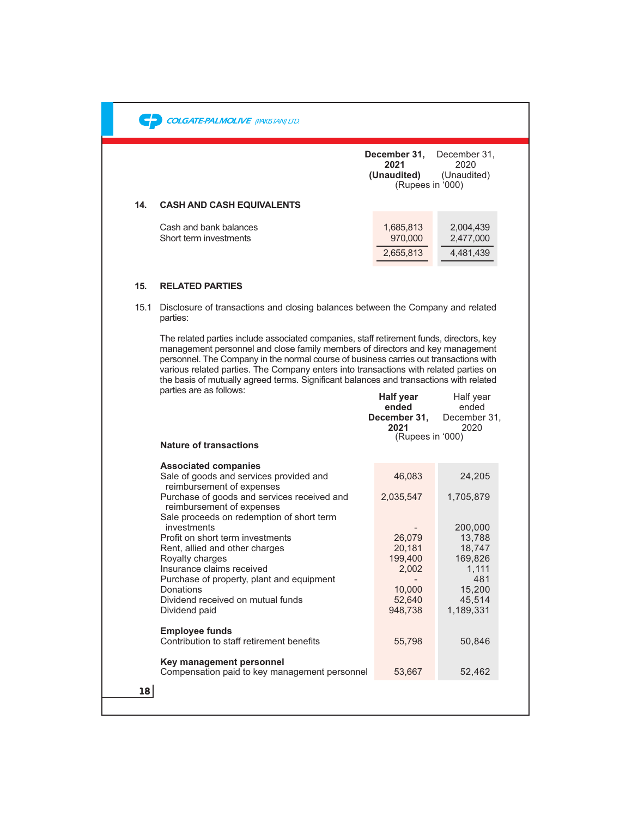|      | <b>COLGATE-PALMOLIVE</b> (PAKISTAN) LTD.                                                                                                                                                                                         |                                                                       |                                                                            |
|------|----------------------------------------------------------------------------------------------------------------------------------------------------------------------------------------------------------------------------------|-----------------------------------------------------------------------|----------------------------------------------------------------------------|
|      |                                                                                                                                                                                                                                  | December 31,<br>2021<br>(Unaudited)<br>(Rupees in '000)               | December 31,<br>2020<br>(Unaudited)                                        |
| 14.  | <b>CASH AND CASH EQUIVALENTS</b>                                                                                                                                                                                                 |                                                                       |                                                                            |
|      | Cash and bank balances<br>Short term investments                                                                                                                                                                                 | 1,685,813<br>970,000<br>2,655,813                                     | 2,004,439<br>2,477,000<br>4,481,439                                        |
| 15.  | <b>RELATED PARTIES</b>                                                                                                                                                                                                           |                                                                       |                                                                            |
| 15.1 | Disclosure of transactions and closing balances between the Company and related<br>parties:                                                                                                                                      |                                                                       |                                                                            |
|      | the basis of mutually agreed terms. Significant balances and transactions with related<br>parties are as follows:<br><b>Nature of transactions</b>                                                                               | <b>Half year</b><br>ended<br>December 31,<br>2021<br>(Rupees in '000) | Half year<br>ended<br>December 31,<br>2020                                 |
|      | <b>Associated companies</b>                                                                                                                                                                                                      |                                                                       |                                                                            |
|      | Sale of goods and services provided and<br>reimbursement of expenses                                                                                                                                                             | 46,083                                                                | 24,205                                                                     |
|      | Purchase of goods and services received and<br>reimbursement of expenses<br>Sale proceeds on redemption of short term                                                                                                            | 2,035,547                                                             | 1,705,879                                                                  |
|      | investments<br>Profit on short term investments<br>Rent, allied and other charges<br>Royalty charges<br>Insurance claims received<br>Purchase of property, plant and equipment<br>Donations<br>Dividend received on mutual funds | 26,079<br>20,181<br>199,400<br>2,002<br>10,000<br>52,640              | 200,000<br>13,788<br>18,747<br>169,826<br>1,111<br>481<br>15,200<br>45,514 |
|      | Dividend paid                                                                                                                                                                                                                    | 948,738                                                               | 1,189,331                                                                  |
|      | <b>Employee funds</b><br>Contribution to staff retirement benefits                                                                                                                                                               | 55,798                                                                | 50,846                                                                     |
|      | Key management personnel<br>Compensation paid to key management personnel                                                                                                                                                        | 53,667                                                                | 52,462                                                                     |
| 18   |                                                                                                                                                                                                                                  |                                                                       |                                                                            |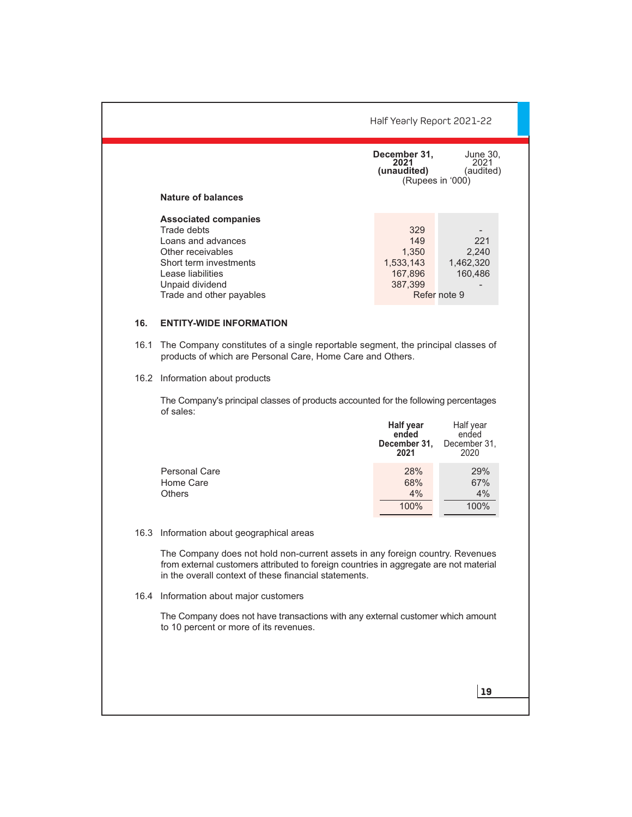**19** Half Yearly Report 2021-22 (Rupees in '000) **December 31, 2021 (unaudited)** June 30, 2021 (audited) **Nature of balances Associated companies** Trade debts 329 Loans and advances 149 221 Other receivables 1,350 2,240 Short term investments 1,533,143 1,462,320<br>
Lease liabilities 160,486 160,486 Lease liabilities 167,896<br>
Unpaid dividend 167,896<br>
287,399 Unpaid dividend<br>
Trade and other payables<br>
Trade and other payables<br>
Trade and other payables Trade and other payables Personal Care 28% 29% Home Care Others 4% 4% 4% 4% 100% 100% 16.3 Information about geographical areas The Company does not hold non-current assets in any foreign country. Revenues from external customers attributed to foreign countries in aggregate are not material in the overall context of these financial statements. 16.4 Information about major customers The Company does not have transactions with any external customer which amount to 10 percent or more of its revenues. **Half year ended December 31, 2021** Half year ended December 31, 2020 **16. ENTITY-WIDE INFORMATION** 16.1 The Company constitutes of a single reportable segment, the principal classes of products of which are Personal Care, Home Care and Others. 16.2 Information about products The Company's principal classes of products accounted for the following percentages of sales: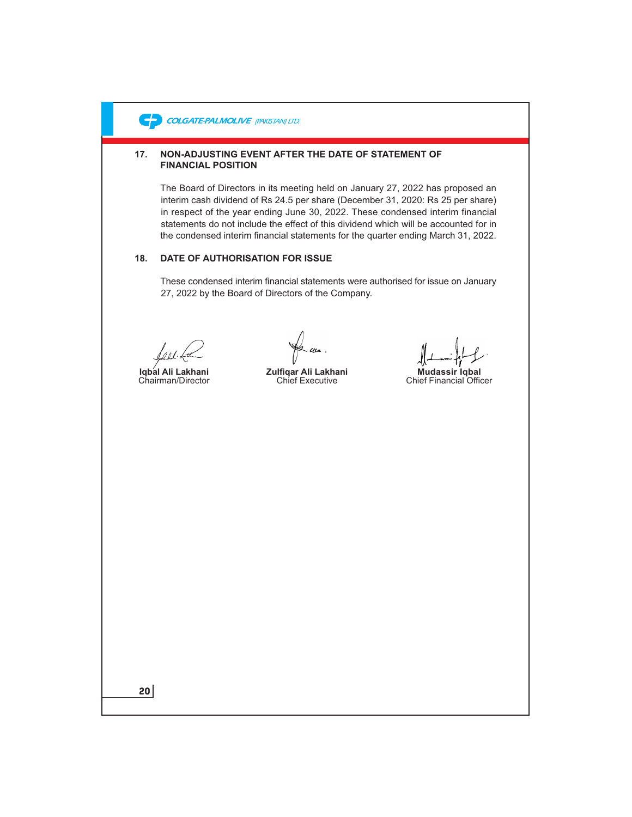

## **17. NON-ADJUSTING EVENT AFTER THE DATE OF STATEMENT OF FINANCIAL POSITION**

The Board of Directors in its meeting held on January 27, 2022 has proposed an interim cash dividend of Rs 24.5 per share (December 31, 2020: Rs 25 per share) in respect of the year ending June 30, 2022. These condensed interim financial statements do not include the effect of this dividend which will be accounted for in the condensed interim financial statements for the quarter ending March 31, 2022.

## **18. DATE OF AUTHORISATION FOR ISSUE**

These condensed interim financial statements were authorised for issue on January 27, 2022 by the Board of Directors of the Company.

**Iqbal Ali Lakhani** Chairman/Director

Uln

**Zulfiqar Ali Lakhani** Chief Executive

**Mudassir Iqbal** Chief Financial Officer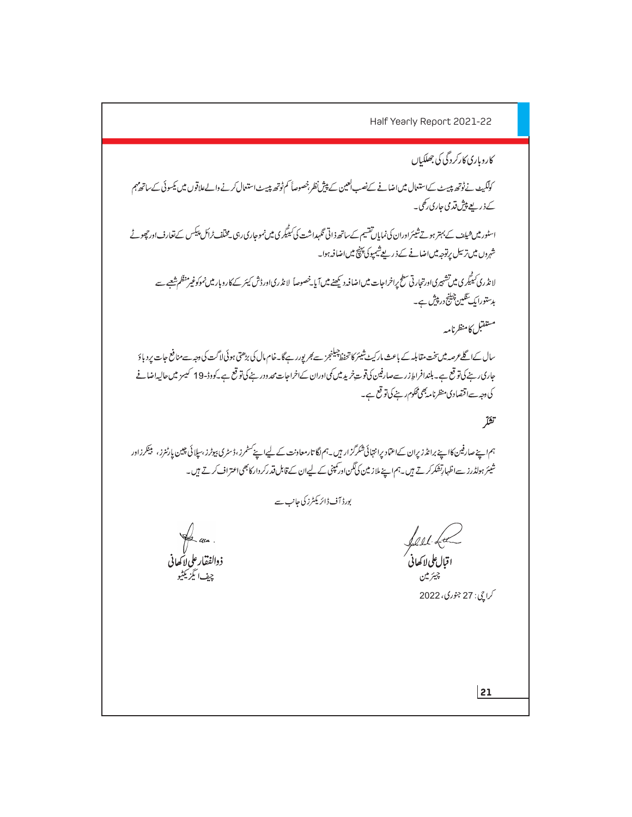Half Yearly Report 2021-22

کاروباری کارکردگی کی جھلکیاں

کولکیٹ نےٹوتھ پیپٹ کےاستعال میں اضافے کےنصب العین کے پیش نظر بنصوصاً کم ٹوتھ پیپٹ استعال کرنے والےعلاقوں میں یکسوئی کےساتھ مہم کے ذیر بعے پیش قدمی حاری رکھی۔

اسٹور میں شیلٹ کے بہتر ہو تے شیئراوران کی نمایاںتقسیم کے ساتھ ذاتی نگہداشت کی کیگیگری میں نموجاری رہی مختلف ٹرائل پیکس کے تعارف اور چھوٹے ش<sub>ھر</sub>وں میں ترسیل پرتوجہ میں اضافے کے ذریعے شیمیوکی پہنچ میں اضافہ ہوا۔

لا نڈری کیٹیگری میں تشہیری اورتجارتی سطح پراخراجات میں اضافہ دیکھنے میں آیا۔خصوصاً لا نڈری اورڈش کیئر کے کاروبار میں نموکوغیر منظم شعبے بدستورایک *تگین چیلنج در پیش ہے۔* 

مستفتيل كامنظرناميه

سال کےا گلے عرصہ میں تخت متنابلہ کے باعث مارکیٹ شیئر کاتحفظ چیلنجز سے بھر پور ہےگا۔خام مال کی بڑھتی ہوئی لاگت کی وجہ سے منافع جات پر دباؤ جاری رینے کی تو تع ہے۔ بلندافراطِ زر سےصارفین کی تو بیٹے پر میں کی اوران کےاخراجات محدود رہنے کی تو تع ہے۔کووڈ-19 کیسز میں حالیہ اضافے کی دجہ سےاقتصادی منظرنامہ بھی محکوم رہنے کی تو قع ہے۔

تشكر

ہم|پنے صارفین کااپنے برانڈ زیران کےاعتماد پرانتہائی شکرگز ار میں۔ہم لگا تارمعاونت کے لیےاپنے سٹمرز ،ڈسٹری بیوٹرز ، بیا پارٹنرز ، بینکرزاور شیئر ہولڈرز سےاظہارتشکر کرتے ہیں۔ہم اپنے ملاز مین کی گئن اور کمپنی کے لیےان کے قابل قدر کر دار کا بھی اعتراف کرتے ہیں۔

بورڈ آف ڈائریکٹرز کی جانب سے

 $\sqrt{\frac{2}{n}}$  am. ذوالفقار على لا كھانى<br>چيف ايگزيكثيو

ر<br>سامالی ارادهایی<br>اقبال کاراکھانی

چيئر مين كراچي: 27 جنوري، 2022

**21**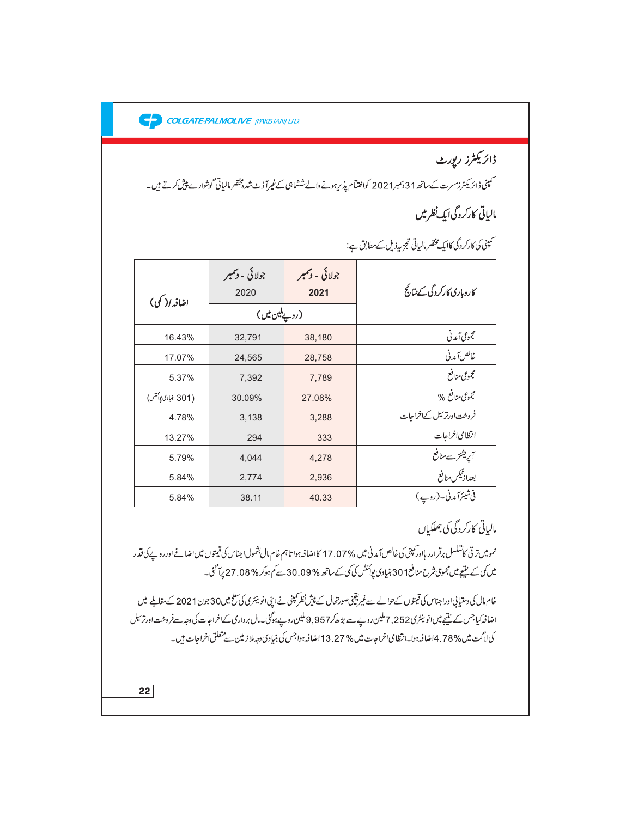ڈائریکٹرز رپورٹ

سمپنی ڈائریکٹرزمسرت کے ساتھ 31 دسمبر2021 کواختتام پذیرہونے والےششاہی کے غیرآ ڈٹ شدہختھر مالیاتی گوشوارے پیش کرتے ہیں۔

مالیاتی کارکردگی ایک نظر میں

| اضافہ ا( کی)       | جولائي - دسمبر<br>2020 | جولائي - دسمبر<br>2021 | کاروباری کارکردگی کے نتائج |
|--------------------|------------------------|------------------------|----------------------------|
|                    | (روپے ملین میں )       |                        |                            |
| 16.43%             | 32,791                 | 38,180                 | مجموعی آمدنی               |
| 17.07%             | 24,565                 | 28,758                 | خالص آمدني                 |
| 5.37%              | 7,392                  | 7,789                  | مجموعى منافع               |
| (301 بنيادى پوئىش) | 30.09%                 | 27.08%                 | مجموعی منافع %             |
| 4.78%              | 3,138                  | 3,288                  | فروخت اورترسيل كےاخراجات   |
| 13.27%             | 294                    | 333                    | انتظامي اخراجات            |
| 5.79%              | 4,044                  | 4,278                  | آپریشنز سے منافع           |
| 5.84%              | 2,774                  | 2,936                  | بعداز گیکس منافع           |
| 5.84%              | 38.11                  | 40.33                  | نی شیئرآمدنی۔(روپے)        |

۔<br>سمپنی کی کارکردگی کاایک مختصر مالیاتی تجزیدۂ بل کےمطابق ہے:

مالیاتی کارکردگی کی جھلکیاں

<sup>ع</sup>مومیں ترقی کاتسلس برقرارر ہااور کمپنی کی خالص آمدنی میں %17.07 کااضافہ ہوا تاہم خام مال بشمول اجناس کی قیمتوں میں اضافے اورروپے کی قدر میں کی بے منتیجے میں مجموعی شرح منافع301 بنیادی پوئنٹس کی کمی کے ساتھ % 09.09 سے کم ہوکر % 08. 27 پرآگئی۔

خام مال کی دستیابی اورا جناس کی قیمتوں کےحوالے سے غیریقینی صورتحال کے پیش نظر کمپنی نے اپنی انوینٹری کی سطح میں 30 جون 2021 کے مقلبلے میں اضافہ کیاجس کے نتیجے میں انوینٹری 7,252 ملین روپے سے بڑھ 9,957/ ملین روپے ہوگئی۔مال برداری کےاخراجات کی وجہ سےفروخت اورترسیل كى لاگت ميں%78 .4اضافہ ہوا۔انتظامى اخراجات ميں%27 .13اضافہ ہواجس كى بنيادى دحبہلاز مين سے متعلق اخراجات ہيں۔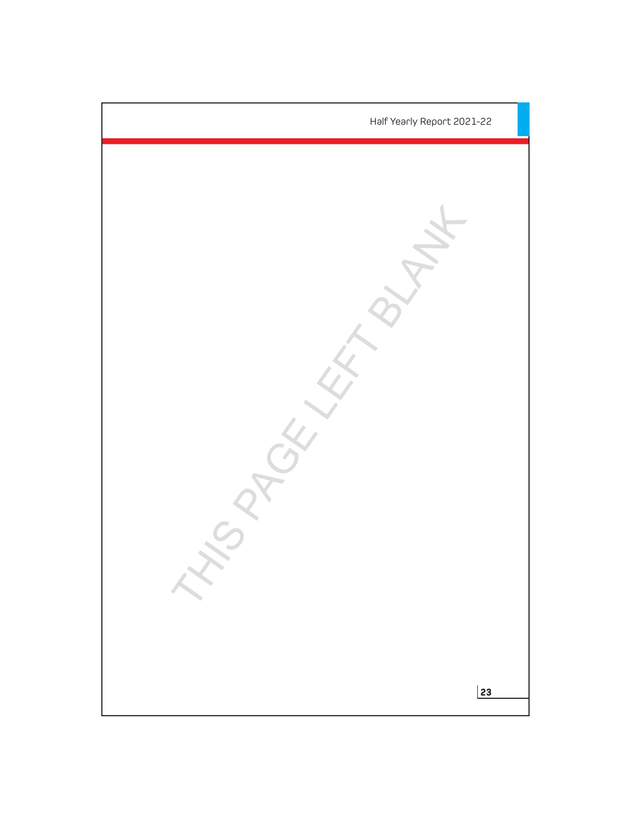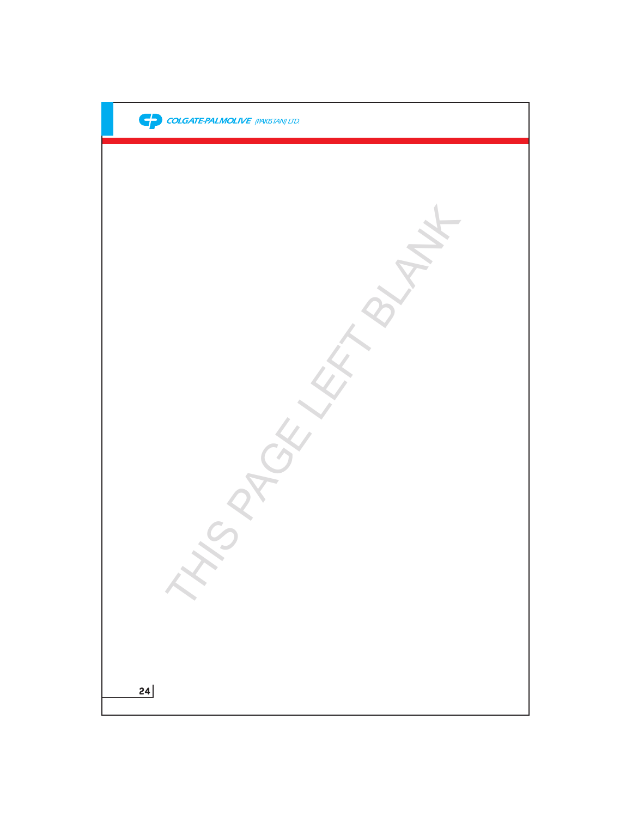